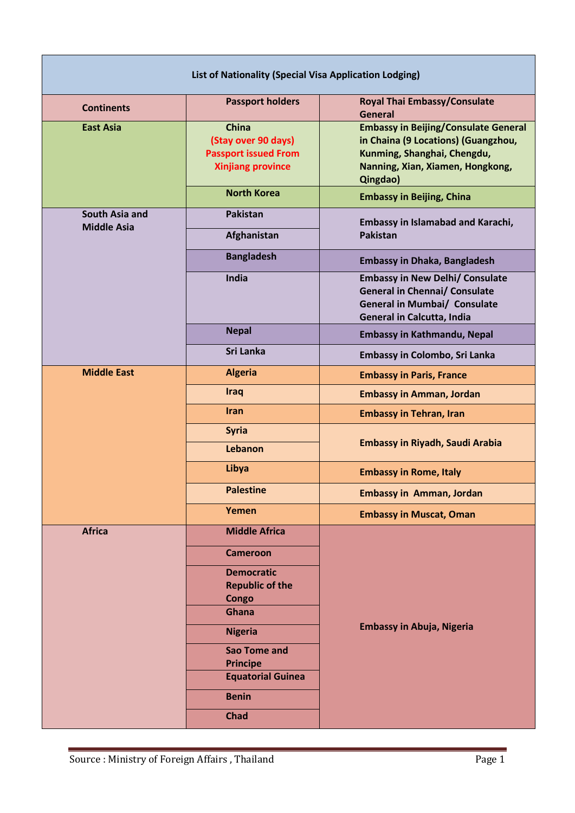| List of Nationality (Special Visa Application Lodging) |                                                                                                |                                                                                                                                                                   |  |
|--------------------------------------------------------|------------------------------------------------------------------------------------------------|-------------------------------------------------------------------------------------------------------------------------------------------------------------------|--|
| <b>Continents</b>                                      | <b>Passport holders</b>                                                                        | <b>Royal Thai Embassy/Consulate</b><br><b>General</b>                                                                                                             |  |
| <b>East Asia</b>                                       | <b>China</b><br>(Stay over 90 days)<br><b>Passport issued From</b><br><b>Xinjiang province</b> | <b>Embassy in Beijing/Consulate General</b><br>in Chaina (9 Locations) (Guangzhou,<br>Kunming, Shanghai, Chengdu,<br>Nanning, Xian, Xiamen, Hongkong,<br>Qingdao) |  |
|                                                        | <b>North Korea</b>                                                                             | <b>Embassy in Beijing, China</b>                                                                                                                                  |  |
| South Asia and<br><b>Middle Asia</b>                   | <b>Pakistan</b><br>Afghanistan                                                                 | <b>Embassy in Islamabad and Karachi,</b><br><b>Pakistan</b>                                                                                                       |  |
|                                                        | <b>Bangladesh</b>                                                                              | <b>Embassy in Dhaka, Bangladesh</b>                                                                                                                               |  |
|                                                        | India                                                                                          | <b>Embassy in New Delhi/ Consulate</b><br><b>General in Chennai/ Consulate</b><br><b>General in Mumbai/ Consulate</b><br>General in Calcutta, India               |  |
|                                                        | <b>Nepal</b>                                                                                   | <b>Embassy in Kathmandu, Nepal</b>                                                                                                                                |  |
|                                                        | Sri Lanka                                                                                      | Embassy in Colombo, Sri Lanka                                                                                                                                     |  |
| <b>Middle East</b>                                     | <b>Algeria</b>                                                                                 | <b>Embassy in Paris, France</b>                                                                                                                                   |  |
|                                                        | <b>Iraq</b>                                                                                    | <b>Embassy in Amman, Jordan</b>                                                                                                                                   |  |
|                                                        | <b>Iran</b>                                                                                    | <b>Embassy in Tehran, Iran</b>                                                                                                                                    |  |
|                                                        | <b>Syria</b>                                                                                   | <b>Embassy in Riyadh, Saudi Arabia</b>                                                                                                                            |  |
|                                                        | Lebanon                                                                                        |                                                                                                                                                                   |  |
|                                                        | Libya                                                                                          | <b>Embassy in Rome, Italy</b>                                                                                                                                     |  |
|                                                        | <b>Palestine</b>                                                                               | <b>Embassy in Amman, Jordan</b>                                                                                                                                   |  |
|                                                        | Yemen                                                                                          | <b>Embassy in Muscat, Oman</b>                                                                                                                                    |  |
| <b>Africa</b>                                          | <b>Middle Africa</b>                                                                           | <b>Embassy in Abuja, Nigeria</b>                                                                                                                                  |  |
|                                                        | <b>Cameroon</b>                                                                                |                                                                                                                                                                   |  |
|                                                        | <b>Democratic</b><br><b>Republic of the</b><br>Congo<br><b>Ghana</b>                           |                                                                                                                                                                   |  |
|                                                        | <b>Nigeria</b>                                                                                 |                                                                                                                                                                   |  |
|                                                        | <b>Sao Tome and</b><br><b>Principe</b>                                                         |                                                                                                                                                                   |  |
|                                                        | <b>Equatorial Guinea</b>                                                                       |                                                                                                                                                                   |  |
|                                                        | <b>Benin</b>                                                                                   |                                                                                                                                                                   |  |
|                                                        | <b>Chad</b>                                                                                    |                                                                                                                                                                   |  |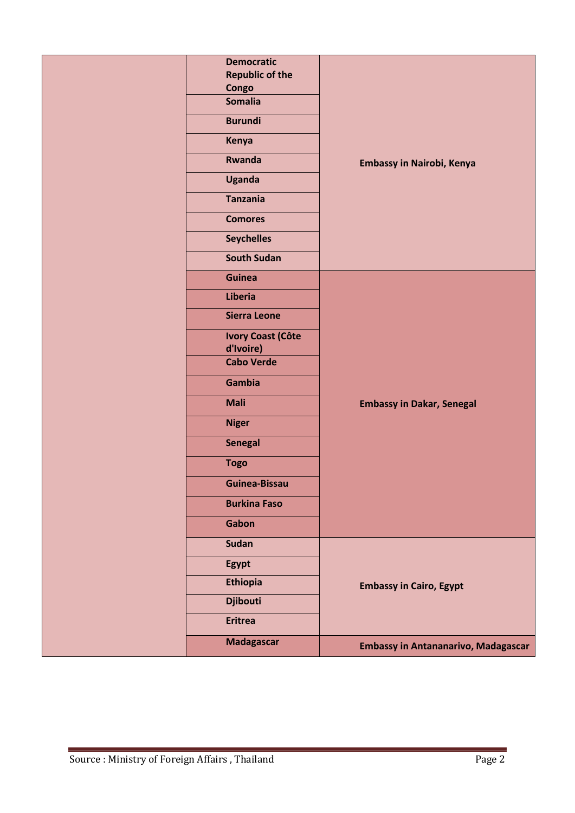| <b>Democratic</b><br><b>Republic of the</b><br>Congo<br><b>Somalia</b><br><b>Burundi</b><br>Kenya<br>Rwanda<br><b>Uganda</b><br><b>Tanzania</b><br><b>Comores</b><br><b>Seychelles</b><br><b>South Sudan</b>                             | Embassy in Nairobi, Kenya                                                    |
|------------------------------------------------------------------------------------------------------------------------------------------------------------------------------------------------------------------------------------------|------------------------------------------------------------------------------|
| <b>Guinea</b><br>Liberia<br><b>Sierra Leone</b><br><b>Ivory Coast (Côte</b><br>d'Ivoire)<br><b>Cabo Verde</b><br>Gambia<br><b>Mali</b><br><b>Niger</b><br><b>Senegal</b><br><b>Togo</b><br>Guinea-Bissau<br><b>Burkina Faso</b><br>Gabon | <b>Embassy in Dakar, Senegal</b>                                             |
| <b>Sudan</b><br>Egypt<br><b>Ethiopia</b><br><b>Djibouti</b><br><b>Eritrea</b><br><b>Madagascar</b>                                                                                                                                       | <b>Embassy in Cairo, Egypt</b><br><b>Embassy in Antananarivo, Madagascar</b> |